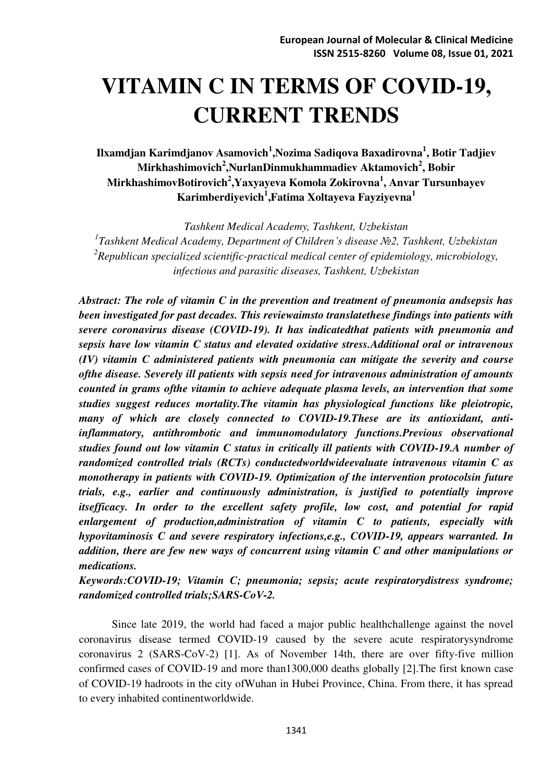# **VITAMIN C IN TERMS OF COVID-19, CURRENT TRENDS**

**Ilxamdjan Karimdjanov Asamovich<sup>1</sup>,Nozima Sadiqova Baxadirovna<sup>1</sup>, Botir Tadjiev Mirkhashimovich<sup>2</sup> ,NurlanDinmukhammadiev Aktamovich<sup>2</sup> , Bobir MirkhashimovBotirovich<sup>2</sup> ,Yaxyayeva Komola Zokirovna<sup>1</sup> , Anvar Tursunbayev Karimberdiyevich<sup>1</sup> ,Fatima Xoltayeva Fayziyevna<sup>1</sup>**

*Tashkent Medical Academy, Tashkent, Uzbekistan 1 Tashkent Medical Academy, Department of Children's disease №2, Tashkent, Uzbekistan 2 Republican specialized scientific-practical medical center of epidemiology, microbiology, infectious and parasitic diseases, Tashkent, Uzbekistan* 

*Abstract: The role of vitamin C in the prevention and treatment of pneumonia andsepsis has been investigated for past decades. This reviewaimsto translatethese findings into patients with severe coronavirus disease (COVID-19). It has indicatedthat patients with pneumonia and sepsis have low vitamin C status and elevated oxidative stress.Additional oral or intravenous (IV) vitamin C administered patients with pneumonia can mitigate the severity and course ofthe disease. Severely ill patients with sepsis need for intravenous administration of amounts counted in grams ofthe vitamin to achieve adequate plasma levels, an intervention that some studies suggest reduces mortality.The vitamin has physiological functions like pleiotropic, many of which are closely connected to COVID-19.These are its antioxidant, antiinflammatory, antithrombotic and immunomodulatory functions.Previous observational studies found out low vitamin C status in critically ill patients with COVID-19.A number of randomized controlled trials (RCTs) conductedworldwideevaluate intravenous vitamin C as monotherapy in patients with COVID-19. Optimization of the intervention protocolsin future trials, e.g., earlier and continuously administration, is justified to potentially improve itsefficacy. In order to the excellent safety profile, low cost, and potential for rapid enlargement of production,administration of vitamin C to patients, especially with hypovitaminosis C and severe respiratory infections,e.g., COVID-19, appears warranted. In addition, there are few new ways of concurrent using vitamin C and other manipulations or medications.* 

*Keywords:COVID-19; Vitamin C; pneumonia; sepsis; acute respiratorydistress syndrome; randomized controlled trials;SARS-CoV-2.* 

Since late 2019, the world had faced a major public healthchallenge against the novel coronavirus disease termed COVID-19 caused by the severe acute respiratorysyndrome coronavirus 2 (SARS-CoV-2) [1]. As of November 14th, there are over fifty-five million confirmed cases of COVID-19 and more than1300,000 deaths globally [2].The first known case of COVID-19 hadroots in the city ofWuhan in Hubei Province, China. From there, it has spread to every inhabited continentworldwide.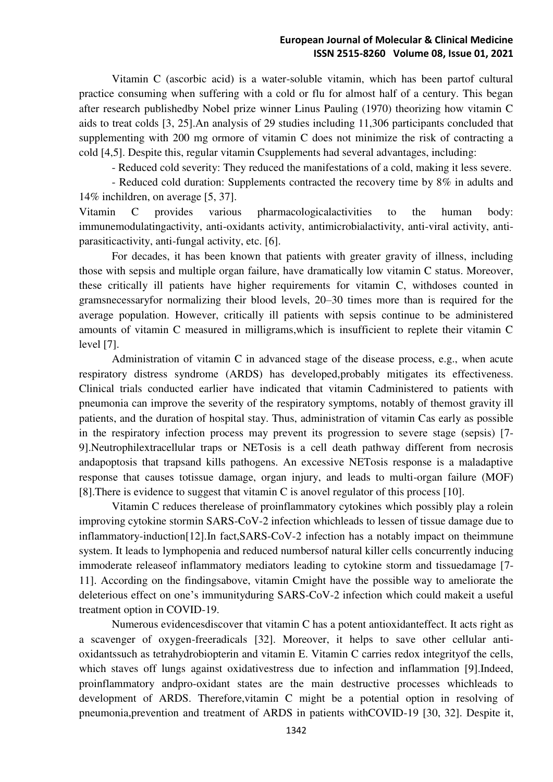Vitamin C (ascorbic acid) is a water-soluble vitamin, which has been partof cultural practice consuming when suffering with a cold or flu for almost half of a century. This began after research publishedby Nobel prize winner Linus Pauling (1970) theorizing how vitamin C aids to treat colds [3, 25].An analysis of 29 studies including 11,306 participants concluded that supplementing with 200 mg ormore of vitamin C does not minimize the risk of contracting a cold [4,5]. Despite this, regular vitamin Csupplements had several advantages, including:

- Reduced cold severity: They reduced the manifestations of a cold, making it less severe.

- Reduced cold duration: Supplements contracted the recovery time by 8% in adults and 14% inchildren, on average [5, 37].

Vitamin C provides various pharmacologicalactivities to the human body: immunemodulatingactivity, anti-oxidants activity, antimicrobialactivity, anti-viral activity, antiparasiticactivity, anti-fungal activity, etc. [6].

For decades, it has been known that patients with greater gravity of illness, including those with sepsis and multiple organ failure, have dramatically low vitamin C status. Moreover, these critically ill patients have higher requirements for vitamin C, withdoses counted in gramsnecessaryfor normalizing their blood levels, 20–30 times more than is required for the average population. However, critically ill patients with sepsis continue to be administered amounts of vitamin C measured in milligrams,which is insufficient to replete their vitamin C level [7].

Administration of vitamin C in advanced stage of the disease process, e.g., when acute respiratory distress syndrome (ARDS) has developed,probably mitigates its effectiveness. Clinical trials conducted earlier have indicated that vitamin Cadministered to patients with pneumonia can improve the severity of the respiratory symptoms, notably of themost gravity ill patients, and the duration of hospital stay. Thus, administration of vitamin Cas early as possible in the respiratory infection process may prevent its progression to severe stage (sepsis) [7- 9].Neutrophilextracellular traps or NETosis is a cell death pathway different from necrosis andapoptosis that trapsand kills pathogens. An excessive NETosis response is a maladaptive response that causes totissue damage, organ injury, and leads to multi-organ failure (MOF) [8].There is evidence to suggest that vitamin C is anovel regulator of this process [10].

Vitamin C reduces therelease of proinflammatory cytokines which possibly play a rolein improving cytokine stormin SARS-CoV-2 infection whichleads to lessen of tissue damage due to inflammatory-induction[12].In fact,SARS-CoV-2 infection has a notably impact on theimmune system. It leads to lymphopenia and reduced numbersof natural killer cells concurrently inducing immoderate releaseof inflammatory mediators leading to cytokine storm and tissuedamage [7- 11]. According on the findingsabove, vitamin Cmight have the possible way to ameliorate the deleterious effect on one's immunityduring SARS-CoV-2 infection which could makeit a useful treatment option in COVID-19.

Numerous evidencesdiscover that vitamin C has a potent antioxidanteffect. It acts right as a scavenger of oxygen-freeradicals [32]. Moreover, it helps to save other cellular antioxidantssuch as tetrahydrobiopterin and vitamin E. Vitamin C carries redox integrityof the cells, which staves off lungs against oxidativestress due to infection and inflammation [9].Indeed, proinflammatory andpro-oxidant states are the main destructive processes whichleads to development of ARDS. Therefore,vitamin C might be a potential option in resolving of pneumonia,prevention and treatment of ARDS in patients withCOVID-19 [30, 32]. Despite it,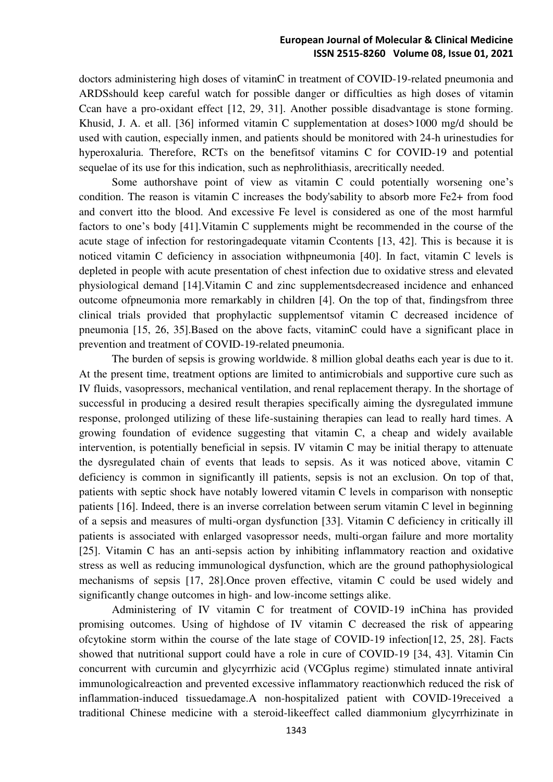doctors administering high doses of vitaminC in treatment of COVID-19-related pneumonia and ARDSshould keep careful watch for possible danger or difficulties as high doses of vitamin Ccan have a pro-oxidant effect [12, 29, 31]. Another possible disadvantage is stone forming. Khusid, J. A. et all. [36] informed vitamin C supplementation at doses>1000 mg/d should be used with caution, especially inmen, and patients should be monitored with 24-h urinestudies for hyperoxaluria. Therefore, RCTs on the benefits of vitamins C for COVID-19 and potential sequelae of its use for this indication, such as nephrolithiasis, arecritically needed.

Some authorshave point of view as vitamin C could potentially worsening one's condition. The reason is vitamin C increases the body'sability to absorb more Fe2+ from food and convert itto the blood. And excessive Fe level is considered as one of the most harmful factors to one's body [41].Vitamin C supplements might be recommended in the course of the acute stage of infection for restoringadequate vitamin Ccontents [13, 42]. This is because it is noticed vitamin C deficiency in association withpneumonia [40]. In fact, vitamin C levels is depleted in people with acute presentation of chest infection due to oxidative stress and elevated physiological demand [14].Vitamin C and zinc supplementsdecreased incidence and enhanced outcome ofpneumonia more remarkably in children [4]. On the top of that, findingsfrom three clinical trials provided that prophylactic supplementsof vitamin C decreased incidence of pneumonia [15, 26, 35].Based on the above facts, vitaminC could have a significant place in prevention and treatment of COVID-19-related pneumonia.

The burden of sepsis is growing worldwide. 8 million global deaths each year is due to it. At the present time, treatment options are limited to antimicrobials and supportive cure such as IV fluids, vasopressors, mechanical ventilation, and renal replacement therapy. In the shortage of successful in producing a desired result therapies specifically aiming the dysregulated immune response, prolonged utilizing of these life-sustaining therapies can lead to really hard times. A growing foundation of evidence suggesting that vitamin C, a cheap and widely available intervention, is potentially beneficial in sepsis. IV vitamin C may be initial therapy to attenuate the dysregulated chain of events that leads to sepsis. As it was noticed above, vitamin C deficiency is common in significantly ill patients, sepsis is not an exclusion. On top of that, patients with septic shock have notably lowered vitamin C levels in comparison with nonseptic patients [16]. Indeed, there is an inverse correlation between serum vitamin C level in beginning of a sepsis and measures of multi-organ dysfunction [33]. Vitamin C deficiency in critically ill patients is associated with enlarged vasopressor needs, multi-organ failure and more mortality [25]. Vitamin C has an anti-sepsis action by inhibiting inflammatory reaction and oxidative stress as well as reducing immunological dysfunction, which are the ground pathophysiological mechanisms of sepsis [17, 28].Once proven effective, vitamin C could be used widely and significantly change outcomes in high- and low-income settings alike.

Administering of IV vitamin C for treatment of COVID-19 inChina has provided promising outcomes. Using of highdose of IV vitamin C decreased the risk of appearing ofcytokine storm within the course of the late stage of COVID-19 infection[12, 25, 28]. Facts showed that nutritional support could have a role in cure of COVID-19 [34, 43]. Vitamin Cin concurrent with curcumin and glycyrrhizic acid (VCGplus regime) stimulated innate antiviral immunologicalreaction and prevented excessive inflammatory reactionwhich reduced the risk of inflammation-induced tissuedamage.A non-hospitalized patient with COVID-19received a traditional Chinese medicine with a steroid-likeeffect called diammonium glycyrrhizinate in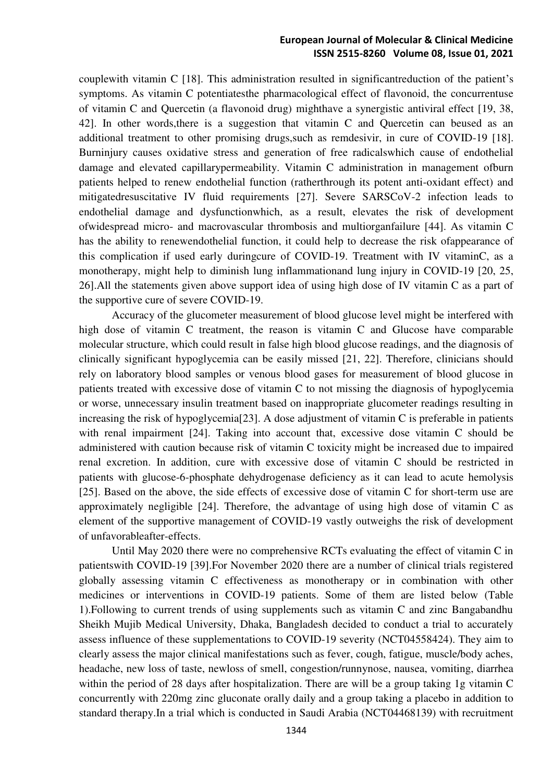couplewith vitamin C [18]. This administration resulted in significantreduction of the patient's symptoms. As vitamin C potentiatesthe pharmacological effect of flavonoid, the concurrentuse of vitamin C and Quercetin (a flavonoid drug) mighthave a synergistic antiviral effect [19, 38, 42]. In other words,there is a suggestion that vitamin C and Quercetin can beused as an additional treatment to other promising drugs,such as remdesivir, in cure of COVID-19 [18]. Burninjury causes oxidative stress and generation of free radicalswhich cause of endothelial damage and elevated capillarypermeability. Vitamin C administration in management ofburn patients helped to renew endothelial function (ratherthrough its potent anti-oxidant effect) and mitigatedresuscitative IV fluid requirements [27]. Severe SARSCoV-2 infection leads to endothelial damage and dysfunctionwhich, as a result, elevates the risk of development ofwidespread micro- and macrovascular thrombosis and multiorganfailure [44]. As vitamin C has the ability to renewendothelial function, it could help to decrease the risk ofappearance of this complication if used early duringcure of COVID-19. Treatment with IV vitaminC, as a monotherapy, might help to diminish lung inflammationand lung injury in COVID-19 [20, 25, 26].All the statements given above support idea of using high dose of IV vitamin C as a part of the supportive cure of severe COVID-19.

Accuracy of the glucometer measurement of blood glucose level might be interfered with high dose of vitamin C treatment, the reason is vitamin C and Glucose have comparable molecular structure, which could result in false high blood glucose readings, and the diagnosis of clinically significant hypoglycemia can be easily missed [21, 22]. Therefore, clinicians should rely on laboratory blood samples or venous blood gases for measurement of blood glucose in patients treated with excessive dose of vitamin C to not missing the diagnosis of hypoglycemia or worse, unnecessary insulin treatment based on inappropriate glucometer readings resulting in increasing the risk of hypoglycemia[23]. A dose adjustment of vitamin C is preferable in patients with renal impairment [24]. Taking into account that, excessive dose vitamin C should be administered with caution because risk of vitamin C toxicity might be increased due to impaired renal excretion. In addition, cure with excessive dose of vitamin C should be restricted in patients with glucose-6-phosphate dehydrogenase deficiency as it can lead to acute hemolysis [25]. Based on the above, the side effects of excessive dose of vitamin C for short-term use are approximately negligible [24]. Therefore, the advantage of using high dose of vitamin C as element of the supportive management of COVID-19 vastly outweighs the risk of development of unfavorableafter-effects.

Until May 2020 there were no comprehensive RCTs evaluating the effect of vitamin C in patientswith COVID-19 [39].For November 2020 there are a number of clinical trials registered globally assessing vitamin C effectiveness as monotherapy or in combination with other medicines or interventions in COVID-19 patients. Some of them are listed below (Table 1).Following to current trends of using supplements such as vitamin C and zinc Bangabandhu Sheikh Mujib Medical University, Dhaka, Bangladesh decided to conduct a trial to accurately assess influence of these supplementations to COVID-19 severity (NCT04558424). They aim to clearly assess the major clinical manifestations such as fever, cough, fatigue, muscle/body aches, headache, new loss of taste, newloss of smell, congestion/runnynose, nausea, vomiting, diarrhea within the period of 28 days after hospitalization. There are will be a group taking 1g vitamin C concurrently with 220mg zinc gluconate orally daily and a group taking a placebo in addition to standard therapy.In a trial which is conducted in Saudi Arabia (NCT04468139) with recruitment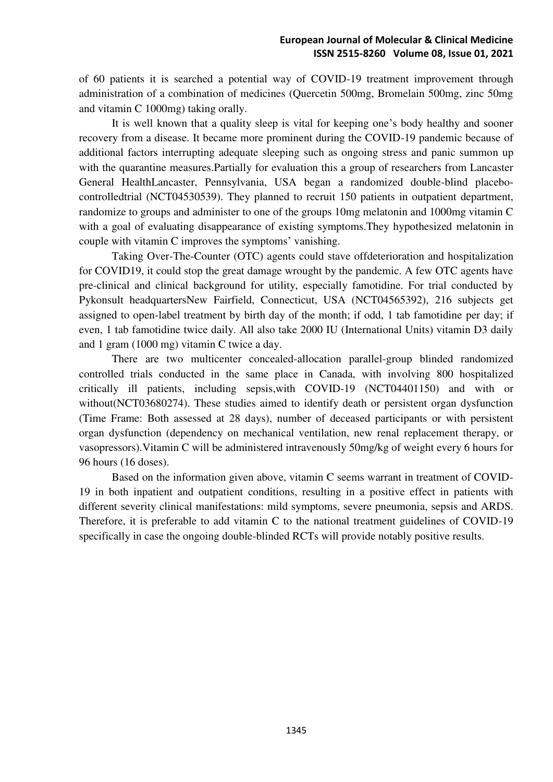of 60 patients it is searched a potential way of COVID-19 treatment improvement through administration of a combination of medicines (Quercetin 500mg, Bromelain 500mg, zinc 50mg and vitamin C 1000mg) taking orally.

It is well known that a quality sleep is vital for keeping one's body healthy and sooner recovery from a disease. It became more prominent during the COVID-19 pandemic because of additional factors interrupting adequate sleeping such as ongoing stress and panic summon up with the quarantine measures.Partially for evaluation this a group of researchers from Lancaster General HealthLancaster, Pennsylvania, USA began a randomized double-blind placebocontrolledtrial (NCT04530539). They planned to recruit 150 patients in outpatient department, randomize to groups and administer to one of the groups 10mg melatonin and 1000mg vitamin C with a goal of evaluating disappearance of existing symptoms.They hypothesized melatonin in couple with vitamin C improves the symptoms' vanishing.

Taking Over-The-Counter (OTC) agents could stave offdeterioration and hospitalization for COVID19, it could stop the great damage wrought by the pandemic. A few OTC agents have pre-clinical and clinical background for utility, especially famotidine. For trial conducted by Pykonsult headquartersNew Fairfield, Connecticut, USA (NCT04565392), 216 subjects get assigned to open-label treatment by birth day of the month; if odd, 1 tab famotidine per day; if even, 1 tab famotidine twice daily. All also take 2000 IU (International Units) vitamin D3 daily and 1 gram (1000 mg) vitamin C twice a day.

There are two multicenter concealed-allocation parallel-group blinded randomized controlled trials conducted in the same place in Canada, with involving 800 hospitalized critically ill patients, including sepsis,with COVID-19 (NCT04401150) and with or without(NCT03680274). These studies aimed to identify death or persistent organ dysfunction (Time Frame: Both assessed at 28 days), number of deceased participants or with persistent organ dysfunction (dependency on mechanical ventilation, new renal replacement therapy, or vasopressors).Vitamin C will be administered intravenously 50mg/kg of weight every 6 hours for 96 hours (16 doses).

Based on the information given above, vitamin C seems warrant in treatment of COVID-19 in both inpatient and outpatient conditions, resulting in a positive effect in patients with different severity clinical manifestations: mild symptoms, severe pneumonia, sepsis and ARDS. Therefore, it is preferable to add vitamin C to the national treatment guidelines of COVID-19 specifically in case the ongoing double-blinded RCTs will provide notably positive results.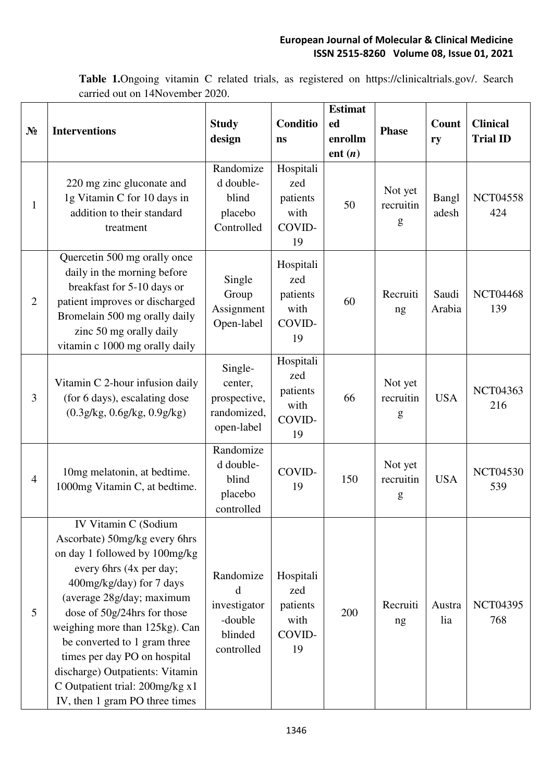**Table 1.**Ongoing vitamin C related trials, as registered on https://clinicaltrials.gov/. Search carried out on 14November 2020.

| $N_2$          | <b>Interventions</b>                                                                                                                                                                                                                                                                                                                                                                                                | <b>Study</b><br>design                                             | Conditio<br>ns                                       | <b>Estimat</b><br>ed<br>enrollm<br>ent $(n)$ | <b>Phase</b>              | <b>Count</b><br>ry | <b>Clinical</b><br><b>Trial ID</b> |
|----------------|---------------------------------------------------------------------------------------------------------------------------------------------------------------------------------------------------------------------------------------------------------------------------------------------------------------------------------------------------------------------------------------------------------------------|--------------------------------------------------------------------|------------------------------------------------------|----------------------------------------------|---------------------------|--------------------|------------------------------------|
| 1              | 220 mg zinc gluconate and<br>1g Vitamin C for 10 days in<br>addition to their standard<br>treatment                                                                                                                                                                                                                                                                                                                 | Randomize<br>d double-<br>blind<br>placebo<br>Controlled           | Hospitali<br>zed<br>patients<br>with<br>COVID-<br>19 | 50                                           | Not yet<br>recruitin<br>g | Bangl<br>adesh     | <b>NCT04558</b><br>424             |
| $\overline{2}$ | Quercetin 500 mg orally once<br>daily in the morning before<br>breakfast for 5-10 days or<br>patient improves or discharged<br>Bromelain 500 mg orally daily<br>zinc 50 mg orally daily<br>vitamin c 1000 mg orally daily                                                                                                                                                                                           | Single<br>Group<br>Assignment<br>Open-label                        | Hospitali<br>zed<br>patients<br>with<br>COVID-<br>19 | 60                                           | Recruiti<br>ng            | Saudi<br>Arabia    | <b>NCT04468</b><br>139             |
| 3              | Vitamin C 2-hour infusion daily<br>(for 6 days), escalating dose<br>(0.3g/kg, 0.6g/kg, 0.9g/kg)                                                                                                                                                                                                                                                                                                                     | Single-<br>center,<br>prospective,<br>randomized,<br>open-label    | Hospitali<br>zed<br>patients<br>with<br>COVID-<br>19 | 66                                           | Not yet<br>recruitin<br>g | <b>USA</b>         | <b>NCT04363</b><br>216             |
| $\overline{4}$ | 10mg melatonin, at bedtime.<br>1000mg Vitamin C, at bedtime.                                                                                                                                                                                                                                                                                                                                                        | Randomize<br>d double-<br>blind<br>placebo<br>controlled           | COVID-<br>19                                         | 150                                          | Not yet<br>recruitin<br>g | <b>USA</b>         | <b>NCT04530</b><br>539             |
| 5              | IV Vitamin C (Sodium<br>Ascorbate) 50mg/kg every 6hrs<br>on day 1 followed by 100mg/kg<br>every 6hrs (4x per day;<br>400mg/kg/day) for 7 days<br>(average 28g/day; maximum<br>dose of 50g/24hrs for those<br>weighing more than 125kg). Can<br>be converted to 1 gram three<br>times per day PO on hospital<br>discharge) Outpatients: Vitamin<br>C Outpatient trial: 200mg/kg x1<br>IV, then 1 gram PO three times | Randomize<br>d<br>investigator<br>-double<br>blinded<br>controlled | Hospitali<br>zed<br>patients<br>with<br>COVID-<br>19 | 200                                          | Recruiti<br>ng            | Austra<br>lia      | <b>NCT04395</b><br>768             |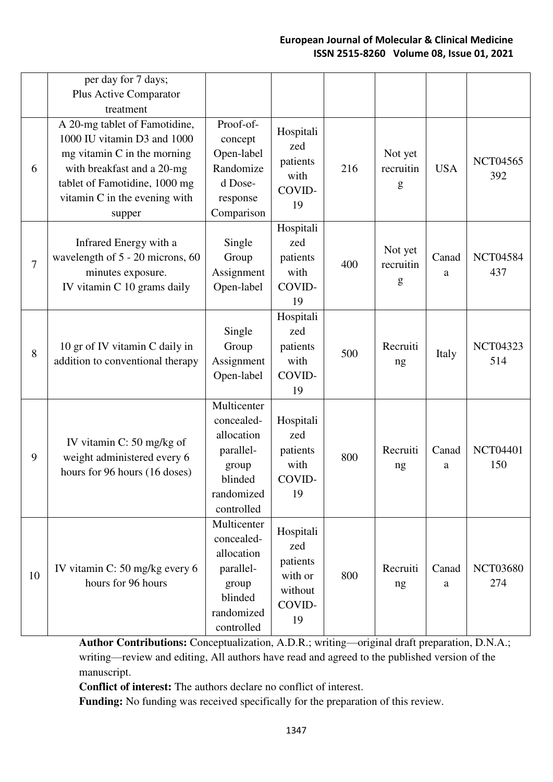|    | per day for 7 days;<br>Plus Active Comparator<br>treatment                                                                                                                                              |                                                                                                      |                                                                    |     |                           |            |                        |
|----|---------------------------------------------------------------------------------------------------------------------------------------------------------------------------------------------------------|------------------------------------------------------------------------------------------------------|--------------------------------------------------------------------|-----|---------------------------|------------|------------------------|
| 6  | A 20-mg tablet of Famotidine,<br>1000 IU vitamin D3 and 1000<br>$mg$ vitamin C in the morning<br>with breakfast and a 20-mg<br>tablet of Famotidine, 1000 mg<br>vitamin C in the evening with<br>supper | Proof-of-<br>concept<br>Open-label<br>Randomize<br>d Dose-<br>response<br>Comparison                 | Hospitali<br>zed<br>patients<br>with<br>COVID-<br>19               | 216 | Not yet<br>recruitin<br>g | <b>USA</b> | <b>NCT04565</b><br>392 |
| 7  | Infrared Energy with a<br>wavelength of 5 - 20 microns, 60<br>minutes exposure.<br>IV vitamin C 10 grams daily                                                                                          | Single<br>Group<br>Assignment<br>Open-label                                                          | Hospitali<br>zed<br>patients<br>with<br>COVID-<br>19               | 400 | Not yet<br>recruitin<br>g | Canad<br>a | <b>NCT04584</b><br>437 |
| 8  | 10 gr of IV vitamin C daily in<br>addition to conventional therapy                                                                                                                                      | Single<br>Group<br>Assignment<br>Open-label                                                          | Hospitali<br>zed<br>patients<br>with<br>COVID-<br>19               | 500 | Recruiti<br>ng            | Italy      | <b>NCT04323</b><br>514 |
| 9  | IV vitamin C: 50 mg/kg of<br>weight administered every 6<br>hours for 96 hours (16 doses)                                                                                                               | Multicenter<br>concealed-<br>allocation<br>parallel-<br>group<br>blinded<br>randomized<br>controlled | Hospitali<br>zed<br>patients<br>with<br>COVID-<br>19               | 800 | Recruiti<br>ng            | Canad<br>a | <b>NCT04401</b><br>150 |
| 10 | IV vitamin C: 50 mg/kg every 6<br>hours for 96 hours                                                                                                                                                    | Multicenter<br>concealed-<br>allocation<br>parallel-<br>group<br>blinded<br>randomized<br>controlled | Hospitali<br>zed<br>patients<br>with or<br>without<br>COVID-<br>19 | 800 | Recruiti<br>ng            | Canad<br>a | <b>NCT03680</b><br>274 |

**Author Contributions:** Conceptualization, A.D.R.; writing—original draft preparation, D.N.A.; writing—review and editing, All authors have read and agreed to the published version of the manuscript.

**Conflict of interest:** The authors declare no conflict of interest.

**Funding:** No funding was received specifically for the preparation of this review.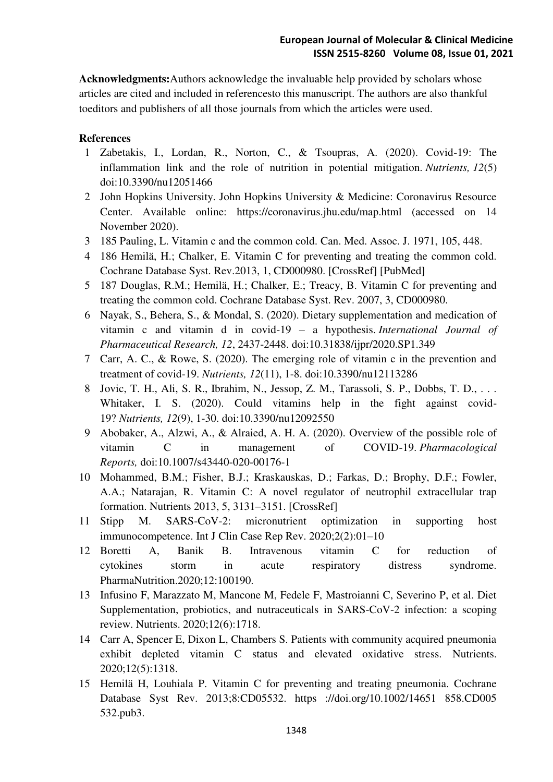**Acknowledgments:**Authors acknowledge the invaluable help provided by scholars whose articles are cited and included in referencesto this manuscript. The authors are also thankful toeditors and publishers of all those journals from which the articles were used.

# **References**

- 1 Zabetakis, I., Lordan, R., Norton, C., & Tsoupras, A. (2020). Covid-19: The inflammation link and the role of nutrition in potential mitigation. *Nutrients, 12*(5) doi:10.3390/nu12051466
- 2 John Hopkins University. John Hopkins University & Medicine: Coronavirus Resource Center. Available online: https://coronavirus.jhu.edu/map.html (accessed on 14 November 2020).
- 3 185 Pauling, L. Vitamin c and the common cold. Can. Med. Assoc. J. 1971, 105, 448.
- 4 186 Hemilä, H.; Chalker, E. Vitamin C for preventing and treating the common cold. Cochrane Database Syst. Rev.2013, 1, CD000980. [CrossRef] [PubMed]
- 5 187 Douglas, R.M.; Hemilä, H.; Chalker, E.; Treacy, B. Vitamin C for preventing and treating the common cold. Cochrane Database Syst. Rev. 2007, 3, CD000980.
- 6 Nayak, S., Behera, S., & Mondal, S. (2020). Dietary supplementation and medication of vitamin c and vitamin d in covid-19 – a hypothesis. *International Journal of Pharmaceutical Research, 12*, 2437-2448. doi:10.31838/ijpr/2020.SP1.349
- 7 Carr, A. C., & Rowe, S. (2020). The emerging role of vitamin c in the prevention and treatment of covid-19. *Nutrients, 12*(11), 1-8. doi:10.3390/nu12113286
- 8 Jovic, T. H., Ali, S. R., Ibrahim, N., Jessop, Z. M., Tarassoli, S. P., Dobbs, T. D., . . . Whitaker, I. S. (2020). Could vitamins help in the fight against covid-19? *Nutrients, 12*(9), 1-30. doi:10.3390/nu12092550
- 9 Abobaker, A., Alzwi, A., & Alraied, A. H. A. (2020). Overview of the possible role of vitamin C in management of COVID-19. *Pharmacological Reports,* doi:10.1007/s43440-020-00176-1
- 10 Mohammed, B.M.; Fisher, B.J.; Kraskauskas, D.; Farkas, D.; Brophy, D.F.; Fowler, A.A.; Natarajan, R. Vitamin C: A novel regulator of neutrophil extracellular trap formation. Nutrients 2013, 5, 3131–3151. [CrossRef]
- 11 Stipp M. SARS-CoV-2: micronutrient optimization in supporting host immunocompetence. Int J Clin Case Rep Rev. 2020;2(2):01–10
- 12 Boretti A, Banik B. Intravenous vitamin C for reduction of cytokines storm in acute respiratory distress syndrome. PharmaNutrition.2020;12:100190.
- 13 Infusino F, Marazzato M, Mancone M, Fedele F, Mastroianni C, Severino P, et al. Diet Supplementation, probiotics, and nutraceuticals in SARS-CoV-2 infection: a scoping review. Nutrients. 2020;12(6):1718.
- 14 Carr A, Spencer E, Dixon L, Chambers S. Patients with community acquired pneumonia exhibit depleted vitamin C status and elevated oxidative stress. Nutrients. 2020;12(5):1318.
- 15 Hemilä H, Louhiala P. Vitamin C for preventing and treating pneumonia. Cochrane Database Syst Rev. 2013;8:CD05532. https ://doi.org/10.1002/14651 858.CD005 532.pub3.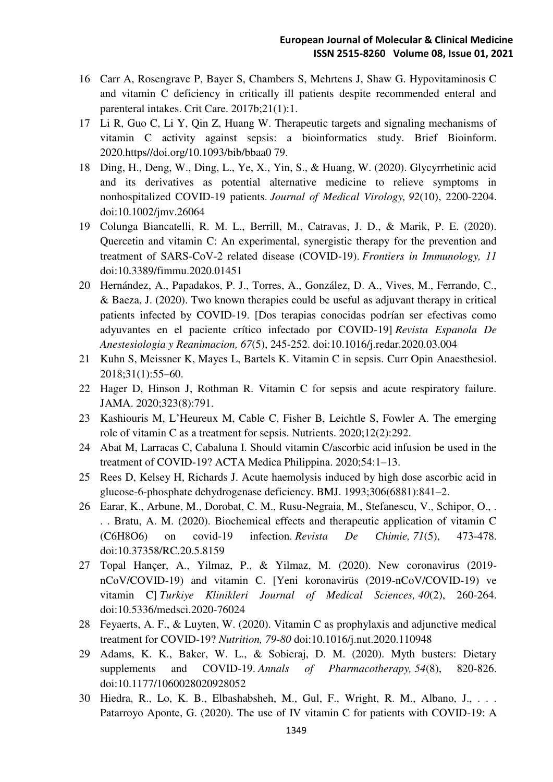- 16 Carr A, Rosengrave P, Bayer S, Chambers S, Mehrtens J, Shaw G. Hypovitaminosis C and vitamin C deficiency in critically ill patients despite recommended enteral and parenteral intakes. Crit Care. 2017b;21(1):1.
- 17 Li R, Guo C, Li Y, Qin Z, Huang W. Therapeutic targets and signaling mechanisms of vitamin C activity against sepsis: a bioinformatics study. Brief Bioinform. 2020.https//doi.org/10.1093/bib/bbaa0 79.
- 18 Ding, H., Deng, W., Ding, L., Ye, X., Yin, S., & Huang, W. (2020). Glycyrrhetinic acid and its derivatives as potential alternative medicine to relieve symptoms in nonhospitalized COVID-19 patients. *Journal of Medical Virology, 92*(10), 2200-2204. doi:10.1002/jmv.26064
- 19 Colunga Biancatelli, R. M. L., Berrill, M., Catravas, J. D., & Marik, P. E. (2020). Quercetin and vitamin C: An experimental, synergistic therapy for the prevention and treatment of SARS-CoV-2 related disease (COVID-19). *Frontiers in Immunology, 11*  doi:10.3389/fimmu.2020.01451
- 20 Hernández, A., Papadakos, P. J., Torres, A., González, D. A., Vives, M., Ferrando, C., & Baeza, J. (2020). Two known therapies could be useful as adjuvant therapy in critical patients infected by COVID-19. [Dos terapias conocidas podrían ser efectivas como adyuvantes en el paciente crítico infectado por COVID-19] *Revista Espanola De Anestesiologia y Reanimacion, 67*(5), 245-252. doi:10.1016/j.redar.2020.03.004
- 21 Kuhn S, Meissner K, Mayes L, Bartels K. Vitamin C in sepsis. Curr Opin Anaesthesiol. 2018;31(1):55–60.
- 22 Hager D, Hinson J, Rothman R. Vitamin C for sepsis and acute respiratory failure. JAMA. 2020;323(8):791.
- 23 Kashiouris M, L'Heureux M, Cable C, Fisher B, Leichtle S, Fowler A. The emerging role of vitamin C as a treatment for sepsis. Nutrients. 2020;12(2):292.
- 24 Abat M, Larracas C, Cabaluna I. Should vitamin C/ascorbic acid infusion be used in the treatment of COVID-19? ACTA Medica Philippina. 2020;54:1–13.
- 25 Rees D, Kelsey H, Richards J. Acute haemolysis induced by high dose ascorbic acid in glucose-6-phosphate dehydrogenase deficiency. BMJ. 1993;306(6881):841–2.
- 26 Earar, K., Arbune, M., Dorobat, C. M., Rusu-Negraia, M., Stefanescu, V., Schipor, O., . . . Bratu, A. M. (2020). Biochemical effects and therapeutic application of vitamin C (C6H8O6) on covid-19 infection. *Revista De Chimie, 71*(5), 473-478. doi:10.37358/RC.20.5.8159
- 27 Topal Hançer, A., Yilmaz, P., & Yilmaz, M. (2020). New coronavirus (2019 nCoV/COVID-19) and vitamin C. [Yeni koronavirüs (2019-nCoV/COVID-19) ve vitamin C] *Turkiye Klinikleri Journal of Medical Sciences, 40*(2), 260-264. doi:10.5336/medsci.2020-76024
- 28 Feyaerts, A. F., & Luyten, W. (2020). Vitamin C as prophylaxis and adjunctive medical treatment for COVID-19? *Nutrition, 79-80* doi:10.1016/j.nut.2020.110948
- 29 Adams, K. K., Baker, W. L., & Sobieraj, D. M. (2020). Myth busters: Dietary supplements and COVID-19. *Annals of Pharmacotherapy, 54*(8), 820-826. doi:10.1177/1060028020928052
- 30 Hiedra, R., Lo, K. B., Elbashabsheh, M., Gul, F., Wright, R. M., Albano, J., . . . Patarroyo Aponte, G. (2020). The use of IV vitamin C for patients with COVID-19: A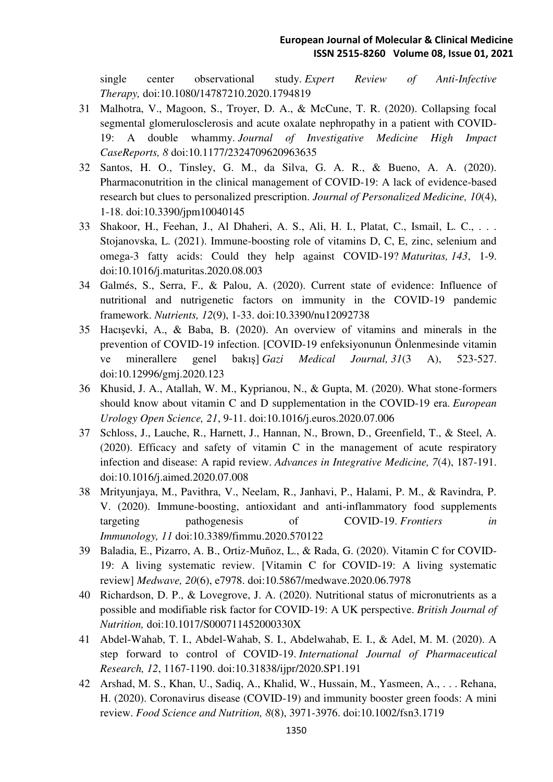single center observational study. *Expert Review of Anti-Infective Therapy,* doi:10.1080/14787210.2020.1794819

- 31 Malhotra, V., Magoon, S., Troyer, D. A., & McCune, T. R. (2020). Collapsing focal segmental glomerulosclerosis and acute oxalate nephropathy in a patient with COVID-19: A double whammy. *Journal of Investigative Medicine High Impact CaseReports, 8* doi:10.1177/2324709620963635
- 32 Santos, H. O., Tinsley, G. M., da Silva, G. A. R., & Bueno, A. A. (2020). Pharmaconutrition in the clinical management of COVID-19: A lack of evidence-based research but clues to personalized prescription. *Journal of Personalized Medicine, 10*(4), 1-18. doi:10.3390/jpm10040145
- 33 Shakoor, H., Feehan, J., Al Dhaheri, A. S., Ali, H. I., Platat, C., Ismail, L. C., . . . Stojanovska, L. (2021). Immune-boosting role of vitamins D, C, E, zinc, selenium and omega-3 fatty acids: Could they help against COVID-19? *Maturitas, 143*, 1-9. doi:10.1016/j.maturitas.2020.08.003
- 34 Galmés, S., Serra, F., & Palou, A. (2020). Current state of evidence: Influence of nutritional and nutrigenetic factors on immunity in the COVID-19 pandemic framework. *Nutrients, 12*(9), 1-33. doi:10.3390/nu12092738
- 35 Hacışevki, A., & Baba, B. (2020). An overview of vitamins and minerals in the prevention of COVID-19 infection. [COVID-19 enfeksiyonunun Önlenmesinde vitamin ve minerallere genel bakış] *Gazi Medical Journal, 31*(3 A), 523-527. doi:10.12996/gmj.2020.123
- 36 Khusid, J. A., Atallah, W. M., Kyprianou, N., & Gupta, M. (2020). What stone-formers should know about vitamin C and D supplementation in the COVID-19 era. *European Urology Open Science, 21*, 9-11. doi:10.1016/j.euros.2020.07.006
- 37 Schloss, J., Lauche, R., Harnett, J., Hannan, N., Brown, D., Greenfield, T., & Steel, A. (2020). Efficacy and safety of vitamin C in the management of acute respiratory infection and disease: A rapid review. *Advances in Integrative Medicine, 7*(4), 187-191. doi:10.1016/j.aimed.2020.07.008
- 38 Mrityunjaya, M., Pavithra, V., Neelam, R., Janhavi, P., Halami, P. M., & Ravindra, P. V. (2020). Immune-boosting, antioxidant and anti-inflammatory food supplements targeting pathogenesis of COVID-19. *Frontiers in Immunology, 11* doi:10.3389/fimmu.2020.570122
- 39 Baladia, E., Pizarro, A. B., Ortiz-Muñoz, L., & Rada, G. (2020). Vitamin C for COVID-19: A living systematic review. [Vitamin C for COVID-19: A living systematic review] *Medwave, 20*(6), e7978. doi:10.5867/medwave.2020.06.7978
- 40 Richardson, D. P., & Lovegrove, J. A. (2020). Nutritional status of micronutrients as a possible and modifiable risk factor for COVID-19: A UK perspective. *British Journal of Nutrition,* doi:10.1017/S000711452000330X
- 41 Abdel-Wahab, T. I., Abdel-Wahab, S. I., Abdelwahab, E. I., & Adel, M. M. (2020). A step forward to control of COVID-19. *International Journal of Pharmaceutical Research, 12*, 1167-1190. doi:10.31838/ijpr/2020.SP1.191
- 42 Arshad, M. S., Khan, U., Sadiq, A., Khalid, W., Hussain, M., Yasmeen, A., . . . Rehana, H. (2020). Coronavirus disease (COVID-19) and immunity booster green foods: A mini review. *Food Science and Nutrition, 8*(8), 3971-3976. doi:10.1002/fsn3.1719